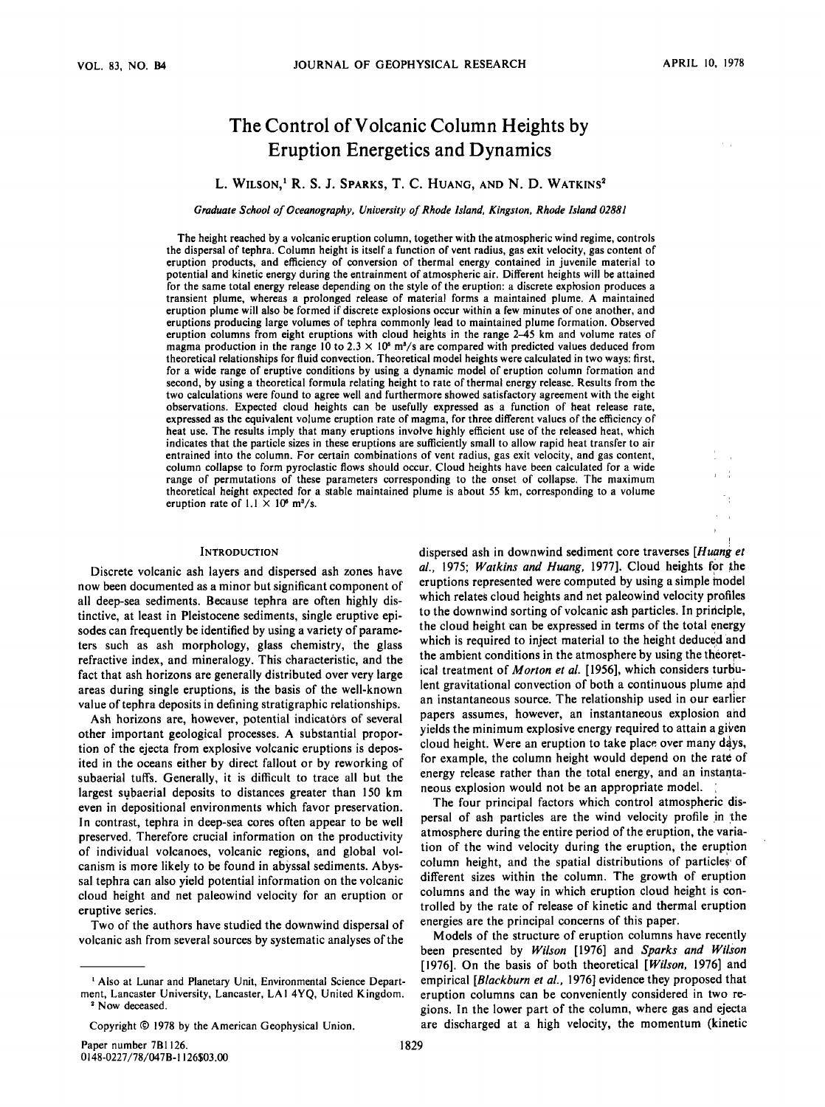# **The Control of Volcanic Column Heights by Eruption Energetics and Dynamics**

## L. WILSON,<sup>1</sup> R. S. J. SPARKS, T. C. HUANG, AND N. D. WATKINS<sup>2</sup>

**Graduate School of Oceanography, University of Rhode Island, Kingston, Rhode Island 02881** 

**The height reached by a volcanic eruption column, together with the atmospheric wind regime, controls the dispersal of tephra. Column height is itself a function of vent radius, gas exit velocity, gas content of eruption products, and efficiency of conversion of thermal energy contained in juvenile material to potential and kinetic energy during the entrainment of atmospheric air. Different heights will be attained for the same total energy release depending on the style of the eruption: a discrete explosion produces a transient plume, whereas a prolonged release of material forms a maintained plume. A maintained eruption plume will also be formed if discrete explosions occur within a few minutes of one another, and eruptions producing large volumes of tephra commonly lead to maintained plume formation. Observed eruption columns from eight eruptions with cloud heights in the range 2-45 km and volume rates of**  magma production in the range 10 to  $2.3 \times 10^5$  m<sup>3</sup>/s are compared with predicted values deduced from **theoretical relationships for fluid convection. Theoretical model heights were calculated in two ways: first, for a wide range of eruptive conditions by using a dynamic model of eruption column formation and second, by using a theoretical formula relating height to rate of thermal energy release. Results from the two calculations were found to agree well and furthermore showed satisfactory agreement with the eight observations. Expected cloud heights can be usefully expressed as a function of heat release rate, expressed as the equivalent volume eruption rate of magma, for three different values of the efficiency of heat use. The results imply that many eruptions involve highly efficient use of the released heat, which indicates that the particle sizes in these eruptions are sufficiently small to allow rapid heat transfer to air entrained into the column. For certain combinations of vent radius, gas exit velocity, and gas content, column collapse to form pyroclastic flows should occur. Cloud heights have been calculated for a wide range of permutations of these parameters corresponding to the onset of collapse. The maximum theoretical height expected for a stable maintained plume is about 55 km, corresponding to a volume**  eruption rate of  $1.1 \times 10^8$  m<sup>3</sup>/s.

#### **INTRODUCTION**

**Discrete volcanic ash layers and dispersed ash zones have now been documented as a minor but significant component of all deep-sea sediments. Because tephra are often highly distinctive, at least in Pleistocene sediments, single eruptive episodes can frequently be identified by using a variety of parameters such as ash morphology, glass chemistry, the glass refractive index, and mineralogy. This characteristic, and the fact that ash horizons are generally distributed over very large areas during single eruptions, is the basis of the well-known value of tephra deposits in defining stratigraphic relationships.** 

**Ash horizons are, however, potential indicators of several other important geological processes. A substantial proportion of the ejecta from explosive volcanic eruptions is deposited in the oceans either by direct fallout or by reworking of subaerial tuffs. Generally, it is difficult to trace all but the**  largest subaerial deposits to distances greater than 150 km **even in depositional environments which favor preservation. In contrast, tephra in deep-sea cores often appear to be well preserved. Therefore crucial information on the productivity of individual volcanoes, volcanic regions, and global volcanism is more likely to be found in abyssal sediments. Abyssal tephra can also yield potential information on the volcanic cloud height and net paleowind velocity for an eruption or eruptive series.** 

**Two of the authors have studied the downwind dispersal of volcanic ash from several sources by systematic analyses of the** 

Paper number 7B1126. **0148-0227/78/047B-I 126503.00**  **dispersed ash in downwind sediment core traverses [Huanget ,**  al., 1975; Watkins and Huang, 1977]. Cloud heights for the **eruptions represented were computed by using a simple model which relates cloud heights and net paleowind velocity profiles**  to the downwind sorting of volcanic ash particles. In principle, **the cloud height can be expressed in terms of the total energy**  which is required to inject material to the height deduced and the ambient conditions in the atmosphere by using the theoretical treatment of *Morton et al.* [1956], which considers turbulent gravitational convection of both a continuous plume and **an instantaneous source. The relationship used in our earlier , papers assumes, however, an instantaneous explosion and yields the minimum explosive energy required to attain a given** cloud height. Were an eruption to take place over many days, **for example, the column height would depend on the rate of energy release rather than the total energy, and an instantaneous explosion would not be an appropriate model. •** 

The four principal factors which control atmospheric dispersal of ash particles are the wind velocity profile in the **atmosphere during the entire period of the eruption, the variation of the wind velocity during the eruption, the eruption**  column height, and the spatial distributions of particles of **different sizes within the column. The growth of eruption columns and the way in which eruption cloud height is controlled by the rate of release of kinetic and thermal eruption**  energies are the principal concerns of this paper.

**Models of the structure of eruption columns have recently**  been presented by Wilson [1976] and Sparks and Wilson **[1976]. On the basis of both theoretical [Wilson, 1976] and empirical [Blackburn et al., 1976] evidence they proposed that eruption columns can be conveniently considered in two regions. In the lower part of the column, where gas and ejecta are discharged at a high velocity, the momentum (kinetic** 

<sup>&</sup>lt;sup>1</sup> Also at Lunar and Planetary Unit, Environmental Science Depart**ment, Lancaster University, Lancaster, LAI 4YQ, United Kingdom. •' Now deceased.** 

Copyright  $©$  1978 by the American Geophysical Union.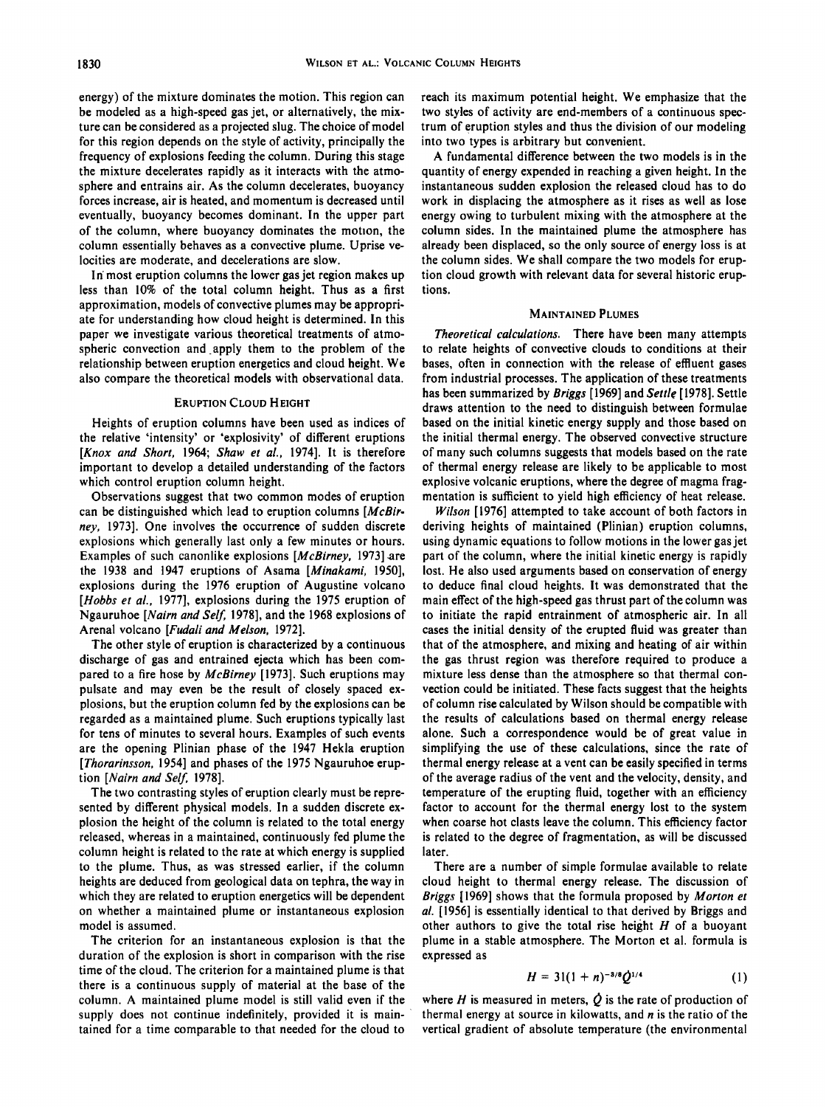**energy) of the mixture dominates the motion. This region can be modeled as a high-speed gas jet, or alternatively, the mixture can be considered as a projected slug. The choice of model for this region depends on the style of activity, principally the frequency of explosions feeding the column. During this stage the mixture decelerates rapidly as it interacts with the atmosphere and entrains air. As the column decelerates, buoyancy forces increase, air is heated, and momentum is decreased until eventually, buoyancy becomes dominant. In the upper part of the column, where buoyancy dominates the motion, the column essentially behaves as a convective plume. Uprise velocities are moderate, and decelerations are slow.** 

**In' most eruption columns the lower gas jet region makes up less than 10% of the total column height. Thus as a first approximation, models of convective plumes may be appropriate for understanding how cloud height is determined. In this paper we investigate various theoretical treatments of atmospheric convection and\_apply them to the problem of the relationship between eruption energetics and cloud height. We also compare the theoretical models with observational data.** 

#### **ERUPTION CLOUD HEIGHT**

**Heights of eruption columns have been used as indices of the relative 'intensity' or 'explosivity' of different eruptions [Knox and Short, 1964; Shaw et al., 1974]. It is therefore important to develop a detailed understanding of the factors which control eruption column height.** 

Observations suggest that two common modes of eruption **can be distinguished which lead to eruption columns [McBirney, 1973]. One involves the occurrence of sudden discrete explosions which generally last only a few minutes or hours. Examples of such canonlike explosions [McBirney, 1973].are the 1938 and 1947 eruptions of Asama [Minakami, 1950], explosions during the 1976 eruption of Augustine volcano [Hobbs et al., 1977], explosions during the 1975 eruption of Ngauruhoe [Nairn and Self, 1978], and the 1968 explosions of Arehal volcano [Fudali and Melson, 1972].** 

**The other style of eruption is characterized by a continuous discharge of gas and entrained ejecta which has been compared to a fire hose by McBirney [1973]. Such eruptions may pulsate and may even be the result of closely spaced explosions, but the eruption column fed by the explosions can be regarded as a maintained plume. Such eruptions typically last for tens of minutes to several hours. Examples of such events are the opening Plinian phase of the 1947 Hekla eruption [Thorarinsson, 1954] and phases of the 1975 Ngauruhoe eruption [Nairn and Self, 1978].** 

**The two contrasting styles of eruption clearly must be represented by different physical models. In a sudden discrete explosion the height of the column is related to the total energy released, whereas in a maintained, continuously fed plume the column height is related to the rate at which energy is supplied to the plume. Thus, as was stressed earlier, if the column heights are deduced from geological data on tephra, the way in which they are related to eruption energetics will be dependent on whether a maintained plume or instantaneous explosion model is assumed.** 

**The criterion for an instantaneous explosion is that the duration of the explosion is short in comparison with the rise time of the cloud. The criterion for a maintained plume is that there is a continuous supply of material at the base of the column. A maintained plume model is still valid even if the supply does not continue indefinitely, provided it is maintained for a time comparable to that needed for the cloud to** 

**reach its maximum potential height. We emphasize that the two styles of activity are end-members of a continuous spectrum of eruption styles and thus the division of our modeling into two types is arbitrary but convenient.** 

**A fundamental difference between the two models is in the quantity of energy expended in reaching a given height. In the instantaneous sudden explosion the released cloud has to do work in displacing the atmosphere as it rises as well as lose energy owing to turbulent mixing with the atmosphere at the column sides. In the maintained plume the atmosphere has already been displaced, so the only source of energy loss is at the column sides. We shall compare the two models for eruption cloud growth with relevant data for several historic eruptions.** 

## **MAINTAINED PLUMES**

**Theoretical calculations. There have been many attempts to relate heights of convective clouds to conditions at their bases, often in connection with the release of effluent gases from industrial processes. The application of these treatments has been summarized by Briggs [ 1969] and Settle [ 1978]. Settle draws attention to the need to distinguish between formulae based on the initial kinetic energy supply and those based on the initial thermal energy. The observed convective structure of many such columns suggests that models based on the rate of thermal energy release are likely to be applicable to most explosive volcanic eruptions, where the degree of magma fragmentation is sufficient to yield high efficiency of heat release.** 

**Wilson [1976] attempted to take account of both factors in deriving heights of maintained (Plinian) eruption columns, using dynamic equations to follow motions in the lower gas jet part of the column, where the initial kinetic energy is rapidly lost. He also used arguments based on conservation of energy to deduce final cloud heights. It was demonstrated that the main effect of the high-speed gas thrust part of the column was to initiate the rapid entrainment of atmospheric air. In all cases the initial density of the erupted fluid was greater than that of the atmosphere, and mixing and heating of air within the gas thrust region was therefore required to produce a mixture less dense than the atmosphere so that thermal convection could be initiated. These facts suggest that the heights of column rise calculated by Wilson should be compatible with the results of calculations based on thermal energy release alone. Such a correspondence would be of great value in simplifying the use of these calculations, since the rate of thermal energy release at a vent can be easily specified in terms of the average radius of the vent and the velocity, density, and temperature of the erupting fluid, together with an efficiency factor to account for the thermal energy lost to the system when coarse hot clasts leave the column. This efficiency factor is related to the degree of fragmentation, as will be discussed later.** 

**There are a number of simple formulae available to relate cloud height to thermal energy release. The discussion of Briggs [1969] shows that the formula proposed by Morton et al. [1956] is essentially identical to that derived by Briggs and other authors to give the total rise height H of a buoyant plume in a stable atmosphere. The Morton et al. formula is expressed as** 

$$
H = 31(1 + n)^{-3/8}Q^{1/4} \tag{1}
$$

where  $H$  is measured in meters,  $\dot{Q}$  is the rate of production of **thermal energy at source in kilowatts, and n is the ratio of the vertical gradient of absolute temperature (the environmental**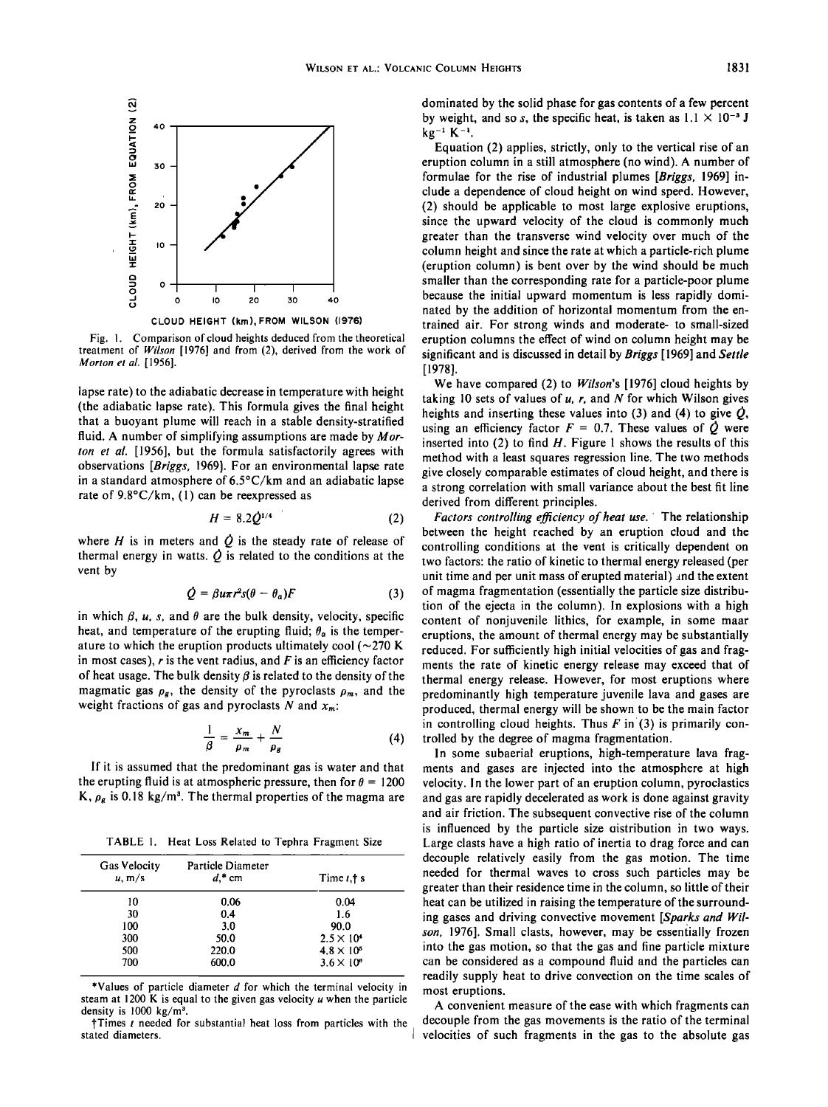

**Fig. 1. Comparison of cloud heights deduced from the theoretical treatment of Wilson [1976] and from (2), derived from the work of Morton et al. [1956].** 

**lapse rate) to the adiabatic decrease in temperature with height (the adiabatic lapse rate). This formula gives the final height that a buoyant plume will reach in a stable density-stratified fluid. A number of simplifying assumptions are made by Morton et al. [1956], but the formula satisfactorily agrees with observations [Briggs, 1969]. For an environmental lapse rate in a standard atmosphere of 6.5øC/km and an adiabatic lapse rate of 9.8øC/km, (1) can be reexpressed as** 

$$
H = 8.2 \dot{Q}^{1/4} \tag{2}
$$

where  $H$  is in meters and  $\dot{Q}$  is the steady rate of release of thermal energy in watts.  $\dot{\mathcal{Q}}$  is related to the conditions at the **vent by** 

$$
Q = \beta u \pi r^2 s (\theta - \theta_a) F \tag{3}
$$

in which  $\beta$ , u, s, and  $\theta$  are the bulk density, velocity, specific heat, and temperature of the erupting fluid;  $\theta_a$  is the temperature to which the eruption products ultimately cool  $(\sim 270 \text{ K})$ **in most cases), r is the vent radius, and F is an efficiency factor**  of heat usage. The bulk density  $\beta$  is related to the density of the magmatic gas  $\rho_g$ , the density of the pyroclasts  $\rho_m$ , and the weight fractions of gas and pyroclasts N and  $x_m$ :

$$
\frac{1}{\beta} = \frac{x_m}{\rho_m} + \frac{N}{\rho_g} \tag{4}
$$

If it is assumed that the predominant gas is water and that the erupting fluid is at atmospheric pressure, then for  $\theta = 1200$ K,  $\rho_g$  is 0.18 kg/m<sup>3</sup>. The thermal properties of the magma are

**TABLE 1. Heat Loss Related to Tephra Fragment Size** 

| <b>Gas Velocity</b><br>u, m/s | Particle Diameter<br>$d^*$ cm | Time $t, \dagger$ s |  |
|-------------------------------|-------------------------------|---------------------|--|
| 10                            | 0.06                          | 0.04                |  |
| 30                            | 0.4                           | 1.6                 |  |
| 100                           | 3.0                           | 90.0                |  |
| 300                           | 50.0                          | $2.5 \times 10^4$   |  |
| 500                           | 220.0                         | $4.8 \times 10^5$   |  |
| 700                           | 600.0                         | $3.6 \times 10^{6}$ |  |

**\*Values of particle diameter d for which the terminal velocity in steam at 1200 K is equal to the given gas velocity u when the particle**  density is 1000 kg/m<sup>3</sup>.

**]-Times t needed for substantial heat loss from particles with the stated diameters.** 

**dominated by the solid phase for gas contents of a few percent**  by weight, and so s, the specific heat, is taken as  $1.1 \times 10^{-3}$  J **kg-• K-•.** 

**Equation (2) applies, strictly, only to the vertical rise of an eruption column in a still atmosphere (no wind). A number of formulae for the rise of industrial plumes [Briggs, 1969] include a dependence of cloud height on wind speed. However, (2) should•be applicable to most large explosive eruptions, since the upward velocity of the cloud is commonly much greater than the transverse wind velocity over much of the column height and since the rate at which a particle-rich plume (eruption column) is bent over by the wind should be much smaller than the corresponding rate for a particle-poor plume because the initial upward momentum is less rapidly dominated by the addition of horizontal momentum from the entrained air. For strong winds and moderate- to small-sized eruption columns the effect of wind on column height may be significant and is discussed in detail by Briggs [ 1969] and Settle [1978].** 

**We have compared (2) to Wilson's [1976] cloud heights by taking 10 sets of values of u, r, and N for which Wilson gives**  heights and inserting these values into  $(3)$  and  $(4)$  to give  $\dot{\mathcal{O}}$ , using an efficiency factor  $F = 0.7$ . These values of  $\dot{Q}$  were **inserted into (2) to find H. Figure 1 shows the results of this method with a least squares regression line. The two methods give closely comparable estimates of cloud height, and there is a strong correlation with small variance about the best fit line derived from different principles.** 

**Factors controlling efficiency of heat use. The relationship between the height reached by an eruption cloud and the controlling conditions at the vent is critically dependent on two factors: the ratio of kinetic to thermal energy released (per unit time and per unit mass of erupted material) and the extent of magma fragmentation (essentially the particle size distribution of the ejecta in the column). In explosions with a high content of nonjuvenile lithies, for example, in some maar eruptions, the amount of thermal energy may be substantially reduced. For sufficiently high initial velocities of gas and fragments the rate of kinetic energy release may exceed that of thermal energy release. However, for most eruptions where predominantly high temperature juvenile lava and gases are produced, thermal energy will be shown to be the main factor in controlling cloud heights. Thus F in (3) is primarily controlled by the degree of magma fragmentation.** 

**In some subaerial eruptions, high-temperature lava fragments and gases are injected into the atmosphere at high velocity. In the lower part of an eruption column, pyroelastics and gas are rapidly decelerated as work is done against gravity and air friction. The subsequent convective rise of the column is influenced by the particle size oistribution in two ways. Large clasts have a high ratio of inertia to drag force and can decouple relatively easily from the gas motion. The time needed for thermal waves to cross such particles may be greater than their residence time in the column, so little of their heat can be utilized in raising the temperature of the surrounding gases and driving convective movement [Sparks and Wilson, 1976]. Small clasts, however, may be essentially frozen into the gas motion, so that the gas and fine particle mixture can be considered as a compound fluid and the particles can readily supply heat to drive convection on the time scales of most eruptions.** 

**A convenient measure of the ease with which fragments can decouple from the gas movements is the ratio of the terminal velocities of such fragments in the gas to the absolute gas**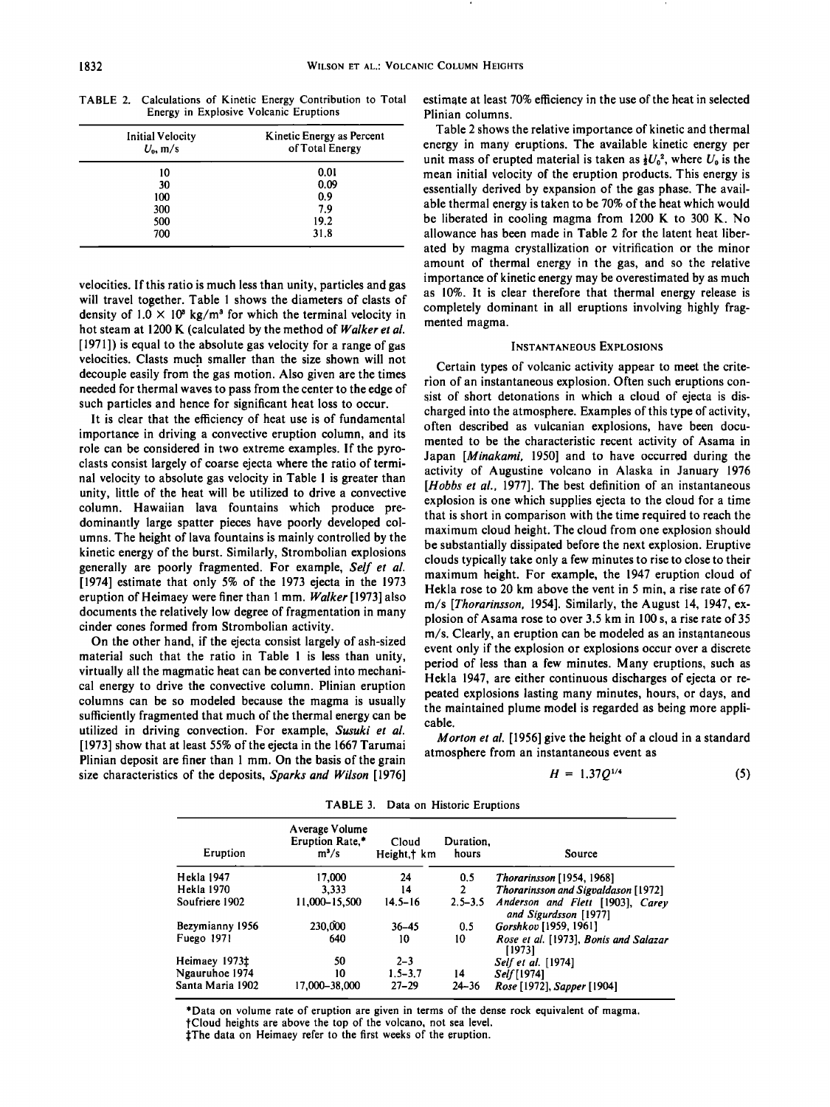**500 19.2 700 31.8** 

| TABLE 2. Calculations of Kinetic Energy Contribution to Total |
|---------------------------------------------------------------|
| Energy in Explosive Volcanic Eruptions                        |

**velocities. If this ratio is much less than unity, particles and gas will travel together. Table 1 shows the diameters of clasts of**  density of  $1.0 \times 10^8$  kg/m<sup>3</sup> for which the terminal velocity in **hot steam at 1200 K (calculated by the method of Walker et al. [1971]) is equal to the absolute gas velocity for a range of gas velocities. Clasts much smaller than the size shown will not ß decouple easily from the gas motion. Also given are the times needed for thermal waves to pass from the center to the edge of such particles and hence for significant heat loss to occur.** 

**It is clear that the efficiency of heat use is of fundamental importance in driving a convective eruption column, and its role can be considered in two extreme examples. If the pyroclasts consist largely of coarse ejecta where the ratio of termi**nal velocity to absolute gas velocity in Table 1 is greater than **unity, little of the heat will be utilized to drive a convective column. Hawaiian lava fountains which produce predominantly large spatter pieces have poorly developed columns. The height of lava fountains is mainly controlled by the kinetic energy of the burst. Similarly, Strombolian explosions generally are poorly fragmented. For example, Self et al. [1974] estimate that only 5% of the 1973 ejecta in the 1973 eruption of Heimaey were finer than 1 min. Walker [1973] also documents the relatively low degree of fragmentation in many cinder cones formed from Strombolian activity.** 

**On the other hand, if the ejecta consist largely of ash-sized material such that the ratio in Table 1 is less than unity, virtually all the magmatic heat can be converted into mechanical energy to drive the convective column. Plinian eruption columns can be so modeled because the magma is usually sufficiently fragmented that much of the thermal energy can be utilized in driving convection. For example, Susuki et al. [1973] show that at least 55% of the ejecta in the 1667 Tarumai**  Plinian deposit are finer than 1 mm. On the basis of the grain **size characteristics of the deposits, Sparks and Wilson [1976]**  **estimate at least 70% efficiency in the use of the heat in selected Plinian columns.** 

**Table 2 shows the relative importance of kinetic and thermal energy in many eruptions. The available kinetic energy per**  unit mass of erupted material is taken as  $\frac{1}{2}U_0^2$ , where  $U_0$  is the **mean initial velocity of the eruption products. This energy is essentially derived by expansion of the gas phase. The available thermal energy is taken to be 70% of the heat which would be liberated in cooling magma from 1200 K to 300 K. No allowance has been made in Table 2 for the latent heat liberated by magma crystallization or vitrification or the minor amount of thermal energy in the gas, and so the relative importance of kinetic energy may be overestimated by as much as 10%. It is clear therefore that thermal energy release is completely dominant in all eruptions involving highly fragmented magma.** 

#### **INSTANTANEOUS EXPLOSIONS**

**Certain types of volcanic activity appear to meet the criterion of an instantaneous explosion. Often such eruptions consist of short detonations in which a cloud of ejecta is discharged into the atmosphere. Examples of this type of activity, often described as vulcanian explosions, have been documented to be the characteristic recent activity of Asama in Japan [Minakami, 1950] and to have occurred during the activity of Augustine volcano in Alaska in January 1976 [Hobbs et al., 1977]. The best definition of an instantaneous explosion is one which supplies ejecta to the cloud for a time that is short in comparison with the time required to reach the maximum cloud height. The cloud from one explosion should be substantially dissipated before the next explosion. Eruptive clouds typically take only a few minutes to rise to close to their maximum height. For example, the 1947 eruption cloud of Hekla rose to 20 km above the vent in 5 min, a rise rate of 67 m/s [Thorarinsson, 1954]. Similarly, the August 14, 1947, explosion of Asama rose to over 3.5 km in 100 s, a rise rate of 35 m/s. Clearly, an eruption can be modeled as an instantaneous event only if the explosion or explosions occur over a discrete period of less than a few minutes. Many eruptions, such as Hekla 1947, are either continuous discharges of ejecta or repeated explosions lasting many minutes, hours, or days, and the maintained plume model is regarded as being more applicable.** 

**Morton et al. [1956] give the height of a cloud in a standard atmosphere from an instantaneous event as** 

$$
H = 1.37Q^{1/4} \tag{5}
$$

| Eruption         | Average Volume<br>Eruption Rate,*<br>$m^3/s$ | Cloud<br>Height,† km | Duration.<br>hours | Source                                                    |
|------------------|----------------------------------------------|----------------------|--------------------|-----------------------------------------------------------|
| Hekla 1947       | 17.000                                       | 24                   | 0.5                | Thorarinsson [1954, 1968]                                 |
| Hekla 1970       | 3.333                                        | 14                   | $\overline{2}$     | <b>Thorarinsson and Sigvaldason</b> [1972]                |
| Soufriere 1902   | 11,000-15,500                                | $14.5 - 16$          | $2.5 - 3.5$        | Anderson and Flett [1903], Carev<br>and Sigurdsson [1977] |
| Bezymianny 1956  | 230,000                                      | $36 - 45$            | 0.5                | Gorshkov [1959, 1961]                                     |
| Fuego 1971       | 640                                          | 10                   | 10                 | Rose et al. [1973], Bonis and Salazar<br>[ 1973]          |
| Heimaey 1973‡    | 50                                           | $2 - 3$              |                    | <i>Self et al.</i> [1974]                                 |
| Ngauruhoe 1974   | 10                                           | $1.5 - 3.7$          | 14                 | Self <sup>[1974]</sup>                                    |
| Santa Maria 1902 | 17,000-38,000                                | $27 - 29$            | 24–36              | Rose [1972], Sapper [1904]                                |

**TABLE 3. Data on Historic Eruptions** 

**\*Data on volume rate of eruption are given in terms of the dense rock equivalent of magma. tCloud heights are above the top of the volcano, not sea level.** 

**•:The data on Heimaey refer to the first weeks of the eruption.**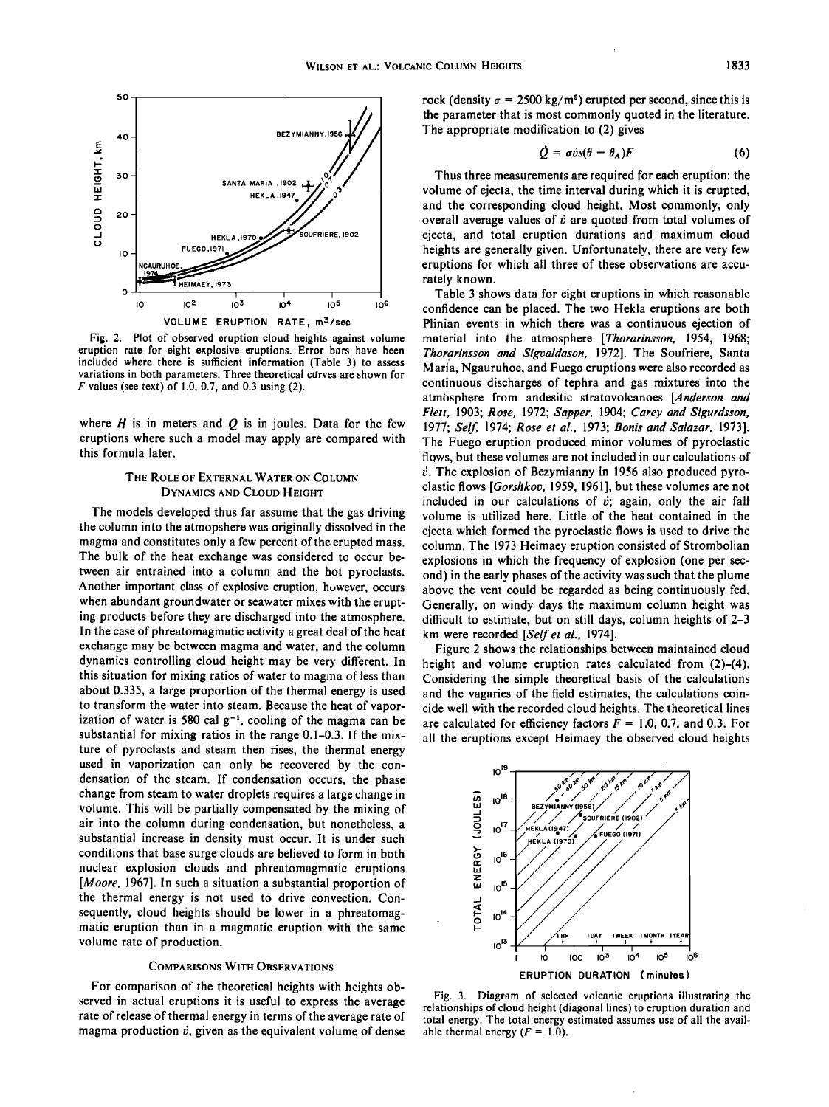

**Fig. 2. Plot of observed eruption cloud heights against volume eruption rate for eight explosive eruptions. Error bars have been included where there is sufficient information (Table 3) to assess variations in both parameters. Three theoretical cdrves are shown for F values (see text) of 1.0, 0.7, and 0.3 using (2).** 

where  $H$  is in meters and  $Q$  is in joules. Data for the few **eruptions where such a model may apply are compared with this formula later.** 

## **THE ROLE OF EXTERNAL WATER ON COLUMN DYNAMICS AND CLOUD HEIGHT**

**The models developed thus far assume that the gas driving the column into the atmopshere was originally dissolved in the magma and constitutes only a few percent of the erupted mass. The bulk of the heat exchange was considered to occur between air entrained into a column and the hot pyroclasts.**  Another important class of explosive eruption, however, occurs **when abundant groundwater or seawater mixes with the erupting products before they are discharged into the atmosphere. In the case of phreatomagmatic activity a great deal of the heat exchange may be between magma and water, and the column dynamics controlling cloud height may be very different. In this situation for mixing ratios of water to magma of less than about 0.335, a large proportion of the thermal energy is used to transform the water into steam. Because the heat of vapor**ization of water is 580 cal  $g^{-1}$ , cooling of the magma can be **substantial for mixing ratios in the range 0.1-0.3. If the mixture of pyroclasts and steam then rises, the thermal energy used in vaporization can only be recovered by the condensation of the steam. If condensation occurs, the phase change from steam to water droplets requires alarge change in volume. This will be partially compensated by the mixing of air into the column during condensation, but nonetheless, a substantial increase in density must occur. It is under such conditions that base surge clouds are believed to form in both nuclear explosion clouds and phreatomagmatic eruptions [Moore, 1967]. In such a situation a substantial proportion of the thermal energy is not used to drive convection. Consequently, cloud heights should be lower in a phreatomagmatic eruption than in a magmatic eruption with the same volume rate of production.** 

### **COMPARISONS WITH OBSERVATIONS**

**For comparison of the theoretical heights with heights observed in actual eruptions it is useful to express the average rate of release of thermal energy in terms of the average rate of magma production b, given as the equivalent volume of dense**  rock (density  $\sigma = 2500 \text{ kg/m}^3$ ) erupted per second, since this is **the parameter that is most commonly quoted in the literature. The appropriate modification to (2) gives** 

$$
Q = \sigma \dot{v} s (\theta - \theta_A) F \tag{6}
$$

**Thus three measurements are required for each eruption' the volume of ejecta, the time interval during which it is erupted, and the corresponding cloud height. Most commonly, only**  overall average values of  $\dot{v}$  are quoted from total volumes of **ejecta, and total eruption durations and maximum cloud heights are generally given. Unfortunately, there are very few eruptions for which all three of these observations are accurately known.** 

**Table 3 shows data for eight eruptions in which reasonable confidence can be placed. The two Hekla eruptions are both Plinian events in which there was a continuous ejection of material into the atmosphere [Thorarinsson, 1954, 1968; Thorqrinsson and Sigvaldason, 1972]. The Soufriere, Santa Maria, Ngauruhoe, and Fuego eruptions were also recorded as continuous discharges of tephra and gas mixtures into the atmosphere from andesitic stratovolcanoes [Anderson and Flett, 1903; Rose, 1972; Sapper, 1904; Carey and Sigurdsson, 1977; Self, 1974; Rose et al., 1973; Bonis and Salazar, 1973]. The Fuego eruption produced minor volumes of pyroclastic flows, but these volumes are not included in our calculations of**   $\dot{v}$ . The explosion of Bezymianny in 1956 also produced pyro**clastic flows [Gorshkov, 1959, 1961], but these volumes are not**  included in our calculations of  $\dot{v}$ ; again, only the air fall **volume is utilized here. Little of the heat contained in the ejecta which formed the pyroclastic flows is used to drive the column. The 1973 Heimaey eruption consisted of Strombolian**  explosions in which the frequency of explosion (one per sec**ond) in the early phases of the activity was such that the plume above the vent could be regarded as being continuously fed. Generally, on windy days the maximum column height was difficult to estimate, but on still days, column heights of. 2-3 km were recorded [Self et al., 1974].** 

**Figure 2 shows the relationships between maintained cloud height and volume eruption rates calculated from (2)-(4). Considering the simple theoretical basis of the calculations and the vagaries of the field estimates, the calculations coincide well with the recorded cloud heights. The theoretical lines**  are calculated for efficiency factors  $F = 1.0, 0.7,$  and 0.3. For **all the eruptions except Heimaey the observed cloud heights** 



**Fig. 3. Diagram of selected volcanic eruptions illustrating the relationships of cloud height (diagonal lines) to eruption duration and total energy. The total energy estimated assumes use of all the avail**able thermal energy  $(F = 1.0)$ .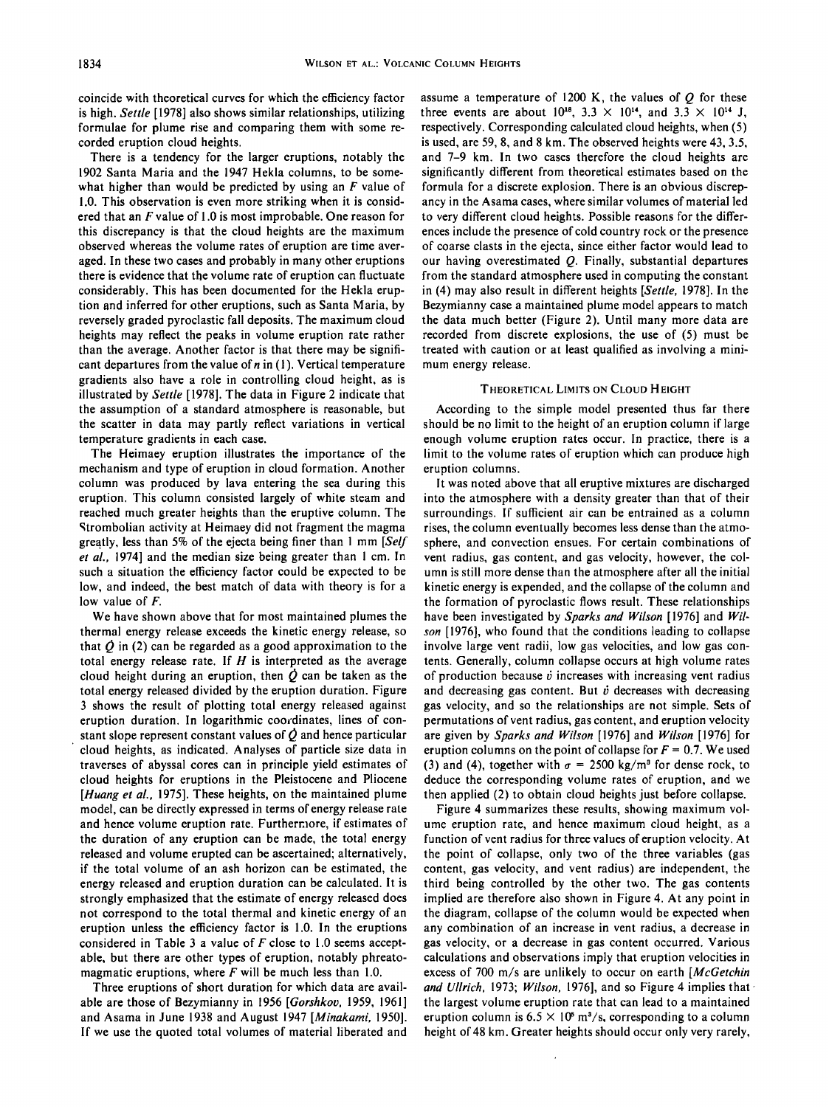**coincide with theoretical curves for which the efficiency factor is high. Settle [1978] also shows similar relationships, utilizing formulae for plume rise and comparing them with some recorded eruption cloud heights.** 

**There is a tendency for the larger eruptions, notably the 1902 Santa Maria and the 1947 Hekla columns, to be somewhat higher than would be predicted by using an F value of 1.0. This observation is even more striking when it is considered that an F value of 1.0 is most improbable. One reason for this discrepancy is that the cloud heights are the maximum observed whereas the volume rates of eruption are time averaged. In these two cases and probably in many other eruptions there is evidence that the volume rate of eruption can fluctuate considerably. This has been documented for the Hekla eruption and inferred for other eruptions, such as Santa Maria, by reversely graded pyroclastic fall deposits. The maximum cloud heights may reflect the peaks in volume eruption rate rather than the average. Another factor is that there may be significant departures from the value of n in (1). Vertical temperature gradients also have a role in controlling cloud height, as is illustrated by Settle [1978]. The data in Figure 2 indicate that the assumption of a standard atmosphere is reasonable, but the scatter in data may partly reflect variations in vertical temperature gradients in each case.** 

**The Heimaey eruption illustrates the importance of the mechanism and type of eruption in cloud formation. Another column was produced by lava entering the sea during this eruption. This column consisted largely of white steam and reached much greater heights than the eruptive column. The**  Strombolian activity at Heimaey did not fragment the magma greatly, less than 5% of the ejecta being finer than 1 mm [Self et al., 1974] and the median size being greater than 1 cm. In **such a situation the efficiency factor could be expected to be low, and indeed, the best match of data with theory is for a low value of F.** 

**We have shown above that for most maintained plumes the thermal energy release exceeds the kinetic energy release, so**  that  $\dot{\theta}$  in (2) can be regarded as a good approximation to the **total energy release rate. If H is interpreted as the average**  cloud height during an eruption, then  $\dot{\mathcal{O}}$  can be taken as the **total energy released divided by the eruption duration. Figure 3 shows the result of plotting total energy released against eruption duration. In logarithmic coordinates, lines of constant slope represent constant values of Q and hence particular cloud heights, as indicated. Analyses of particle size data in traverses of abyssal cores can in principle yield estimates of cloud heights for eruptions in the Pleistocene and Pliocene [Huang et al., 1975]. These heights, on the maintained plume model, can be directly expressed in terms of energy release rate and hence volume eruption rate. Furthermore, if estimates of the duration of any eruption can be made, the total energy released and volume erupted can be ascertained; alternatively, if the total volume of an ash horizon can be estimated, the energy released and eruption duration can be calculated. It is strongly emphasized that the estimate of energy released does not correspond to the total thermal and kinetic energy of an eruption unless the efficiency factor is 1.0. In the eruptions considered in Table 3 a value of F close to 1.0 seems acceptable, but there are other types of eruption, notably phreatomagmatic eruptions, where F will be much less than 1.0.** 

**Three eruptions of short duration for which data are avail**able are those of Bezymianny in 1956 [Gorshkov, 1959, 1961] **and Asama in June 1938 and August 1947 [Minakami, 1950]. If we use the quoted total volumes of material liberated and**  **assume a temperature of 1200 K, the values of Q for these**  three events are about  $10^{18}$ ,  $3.3 \times 10^{14}$ , and  $3.3 \times 10^{14}$  J, **respectively. Corresponding calculated cloud heights, when (5) is used, are 59, 8, and 8 km. The observed heights were 43, 3.5, and 7-9 km. In two cases therefore the cloud heights are significantly different from theoretical estimates based on the formula for a discrete explosion. There is an obvious discrepancy in the Asama cases, where similar volumes of material led to very different cloud heights. Possible reasons for the differences include the presence of cold country rock or the presence of coarse clasts in the ejecta, since either factor would lead to our having overestimated Q. Finally, substantial departures from the standard atmosphere used in computing the constant in (4) may also result in different heights [Settle, 1978]. In the Bezymianny case a maintained plume model appears to match the data much better (Figure 2). Until many more data are recorded from discrete explosions, the use of (5) must be treated with caution or at least qualified as involving a minimum energy release.** 

## **THEORETICAL LIMITS ON CLOUD HEIGHT**

**According to the simple model presented thus far there should be no limit to the height of an eruption column if large enough volume eruption rates occur. In practice, there is a limit to the volume rates of eruption which can produce high eruption columns.** 

**It was noted above that all eruptive mixtures are discharged into the atmosphere with a density greater than that of their surroundings. If sufficient air can be entrained as a column rises, the column eventually becomes less dense than the atmosphere, and convection ensues. For certain combinations of vent radius, gas content, and gas velocity, however, the column is still more dense than the atmosphere after all the initial kinetic energy is expended, and the collapse of the column and the formation of pyroclastic flows result. These relationships have been investigated by Sparks and Wilson [1976] and Wilson [1976], who found that the conditions leading to collapse involve large vent radii, low gas velocities, and low gas contents. Generally, column collapse occurs at high volume rates**  of production because  $\dot{v}$  increases with increasing vent radius and decreasing gas content. But  $\dot{v}$  decreases with decreasing **gas velocity, and so the relationships are not simple. Sets of permutations of vent radius, gas content, and eruption velocity are given by Sparks and Wilson [1976] and Wilson [1976] for**  eruption columns on the point of collapse for  $F = 0.7$ . We used (3) and (4), together with  $\sigma = 2500 \text{ kg/m}^3$  for dense rock, to **deduce the corresponding volume rates of eruption, and we then applied (2) to obtain cloud heights just before collapse.** 

**Figure 4 summarizes these results, showing maximum volume eruption rate, and hence maximum cloud height, as a function of vent radius for three values of eruption velocity. At the point of collapse, only two of the three variables (gas content, gas velocity, and vent radius) are independent, the third being controlled by the other two. The gas contents implied are therefore also shown in Figure 4. At any point in the diagram, collapse of the column would be expected when any combination of an increase in vent radius, a decrease in gas velocity, or a decrease in gas content occurred. Various calculations and observations imply that eruption velocities in excess of 700 m/s are unlikely to occur on earth [McGetchin**  and Ullrich, 1973; Wilson, 1976], and so Figure 4 implies that **the largest volume eruption rate that can lead to a maintained**  eruption column is  $6.5 \times 10^6$  m<sup>3</sup>/s, corresponding to a column **height of 48 km. Greater heights should occur only very rarely,**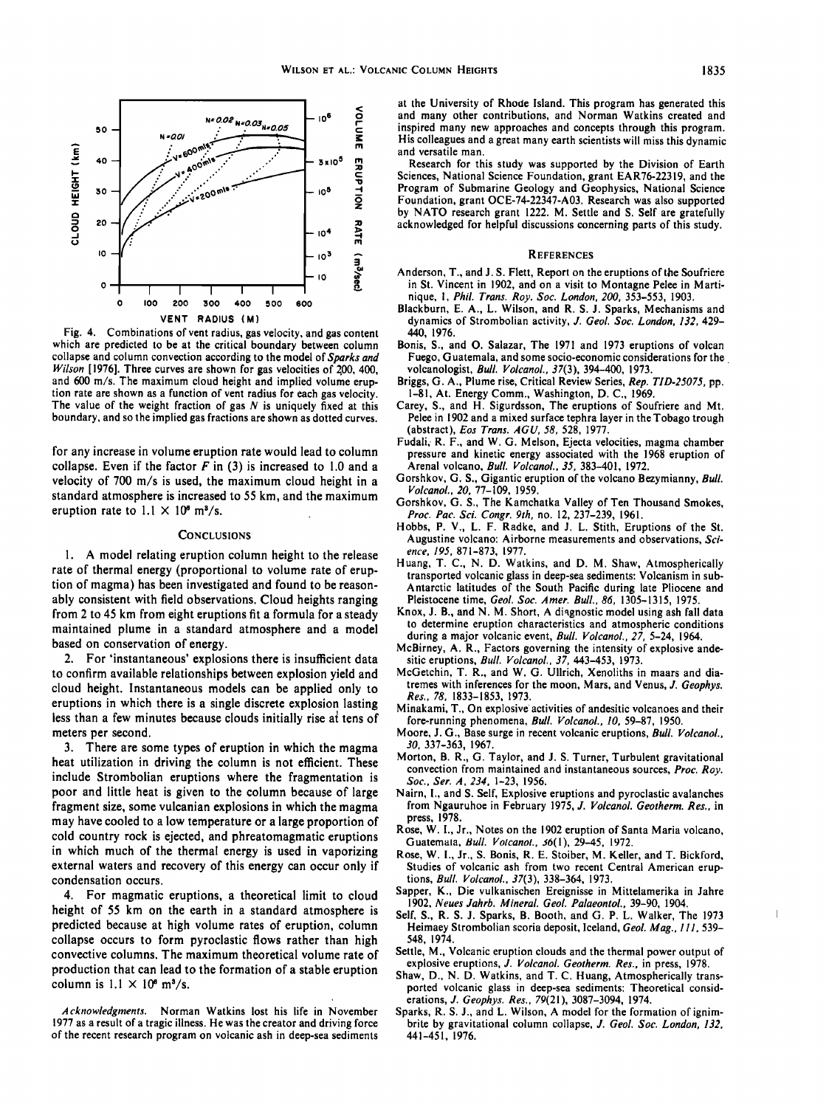

**Fig. 4. Combinations of vent radius, gas velocity, and gas content which are predicted to be at the critical boundary between column collapse and column convection according to the model of Sparks and Wilson [1976]. Three curves are shown for gas velocities of 200, 400, and 600 m/s. The maximum cloud height and implied volume eruption rate are shown as a function of vent radius for each gas velocity. The value of the weight fraction of gas N is uniquely fixed at this boundary, and so the implied gas fractions are shown as dotted curves.** 

**for any increase in volume eruption rate would lead to column collapse. Even if the factor F in (3) is increased to 1.0 and a velocity of 700 m/s is used, the maximum cloud height in a standard atmosphere is increased to 55 km, and the maximum**  eruption rate to  $1.1 \times 10^6$  m<sup>3</sup>/s.

#### **CONCLUSIONS**

**1. A model relating eruption column height to the release rate of thermal energy (proportional to volume rate of eruption of magma) has been investigated and found to be reasonably consistent with field observations. Cloud heights ranging from 2 to 45 km from eight eruptions fit a formula for a steady maintained plume in a standard atmosphere and a model based on conservation of energy.** 

**2. For 'instantaneous' explosions there is insufficient data to confirm available relationships between explosion yield and cloud height. Instantaneous models can be applied only to eruptions in which there is a single discrete explosion lasting**  less than a few minutes because clouds initially rise at tens of **meters per second.** 

**3. There are some types of eruption in which the magma heat utilization in driving the column is not efficient. These include Strombolian eruptions where the fragmentation is poor and little heat is given to the column because of large fragment size, some vulcanian explosions in which the magma may have cooled to a low temperature or a large proportion of cold country rock is ejected, and phreatomagmatic eruptions in which much of the thermal energy is used in vaporizing external waters and recovery of this energy can occur only if condensation occurs.** 

**4. For magmatic eruptions, a theoretical limit to cloud height of 55 km on the earth in a standard atmosphere is predicted because at high volume rates of eruption, column collapse occurs to form pyroclastic flows rather than high convective columns. The maximum theoretical volume rate of production that can lead to the formation of a stable eruption**  column is  $1.1 \times 10^6$  m<sup>3</sup>/s.

**at the University of Rhode Island. This program has generated this and many other contributions, and Norman Watkins created and inspired many new approaches and concepts through this program. His colleagues and a great many earth scientists will miss this dynamic and versatile man.** 

**Research for this study was supported by the Division of Earth Sciences, National Science Foundation, grant EAR76-22319, and the Program of Submarine Geology and Geophysics, National Science Foundation, grant OCE-74-22347-A03. Research was also supported by NATO research grant 1222. M. Settle and S. Self are gratefully acknowledged for helpful discussions concerning parts of this study.** 

#### **REFERENCES**

- **Anderson, T., and J. S. F!ett, Report on the eruptions of the Soufriere in St. Vincent in 1902, and on a visit to Montagne Pelee in Martinique, 1, Phil. Trans. Roy. Soc. London, 200, 353-553, 1903.**
- **Blackburn, E. A., L. Wilson, and R. S. J. Sparks, Mechanisms and dynamics of Strombolian activity, J. Geol. Soc. London, 132, 429- 440, 1976.**
- **Bonis, S., and O. Salazar, The 1971 and 1973 eruptions of volcan Fuego, Guatemala, and some socio-economic considerations for the volcanologist, Bull. Volcanol., 37(3), 394-400, 1973.**
- **Briggs, G. A., Plume rise, Critical Review Series, Rep. TID.25075, pp. 1-81, At. Energy Comm., Washington, D.C., 1969.**
- **Carey, S., and H. Sigurdsson, The eruptions of Soufriere and Mt. Pelee in 1902 and a mixed surface tephra layer in the Tobago trough (abstract), Eos Trans. AGU, 58, 528, 1977.**
- **Fudali, R. F., and W. G. Meison, Ejecta velocities, magma chamber pressure and kinetic energy associated with the 1968 eruption of Arehal volcano, Bull. Volcano!., 35, 383-401, 1972.**
- **Gorshkov, G. S., Gigantic eruption of the volcano Bezymianny, Bull. Volcano!., 20, 77-109, 1959.**
- **Gorshkov, G. S., The Kamchatka Valley of Ten Thousand Smokes, Proc. Pac. Sci. Congr. 9th, no. 12, 237-239, 1961.**
- **Hobbs, P. V., L. F. Radke, and J. L. Stith, Eruptions of the St. Augustine volcano: Airborne measurements and observations, Science, 195, 871-873, 1977.**
- **Huang, T. C., N. D. Watkins, and D. M. Shaw, Atmospherically transported volcanic glass in deep-sea sediments: Volcanism in sub-Antarctic latitudes of the South Pacific during late Pliocene and Pleistocene time, Geol. Soc. Amer. Bull., 86, 1305-1315, 1975.**
- **Knox, J. B., and N.M. Short, A diagnostic model using ash fall data to determine eruption characteristics and atmospheric conditions during a major volcanic event, Bull. Volcano!., 27, 5-24, 1964.**
- **McBirney, A. R., Factors governing the intensity of explosive andesitic eruptions, Bull. Volcano!., 37, 443-453, 1973.**
- **McGetchin, T. R., and W. G. Ullrich, Xenoliths in maars and diatremes with inferences for the moon, Mars, and Venus, J. Geophys. Res., 78, 1833-1853, 1973.**
- **Minakami, T., On explosive activities of andesitic volcanoes and their fore-running phenomena, Bull. Volcano!., lO, 59-87, 1950.**
- **Moore, J. G., Base surge in recent volcanic eruptions, Bull. Volcano!., 30, 337-363, 1967.**
- **Morton, B. R., G. Taylor, and J. S. Turner, Turbulent gravitational convection from maintained and instantaneous sources, Proc. Roy. Soc., Ser. A, 234, 1-23, 1956.**
- **Nairn, l., and S. Self, Explosive eruptions and pyroclastic avalanches from Ngauruhoe in February 1975, J. Volcanol. Geotherm. Res., in press, 1978.**
- **Rose, W. l., Jr., Notes on the 1902 eruption of Santa Maria volcano,**  Guatemala, *Bull. Volcanol., 36(1)*, 29-45, 1972.
- **Rose, W. l., Jr., S. Bonis, R. E. Stoiber, M. Keller, and T. Bickford, Studies of volcanic ash from two recent Central American eruptions, Bull. Volcano!., 37(3), 338-364, 1973.**
- **Sapper, K., Die vulkanischen Ereignisse in Mittelamerika in Jahre 1902, Neues Jahrb. Mineral. Geol. Palaeonto!., 39-90, 1904.**
- **Self, S., R. S. J. Sparks, B. Booth, and G. P. L. Walker, The 1973 Heimaey Strombolian scoria deposit, Iceland, Geol. Mag., III, 539- 548, 1974.**
- **Settle, M., Volcanic eruption clouds and the thermal power output of explosive eruptions, J. Volcanol. Geotherm. Res., in press, 1978.**
- **Shaw, D., N. D. Watkins, and T. C. Huang, Atmospherically transported volcanic glass in deep-sea sediments: Theoretical considerations, J. Geophys. Res., 79(21), 3087-3094, 1974.**
- **Sparks, R. S. J., and L. Wilson, A model for the formation of ignimbrite by gravitational column collapse, J. Geol. Soc. London, 132, 441-451, 1976.**

**Acknowledgments. Norman Watkins lost his life in November 1977 as a result of a tragic illness. He was the creator and driving force of the recent research program on volcanic ash in deep-sea sediments**